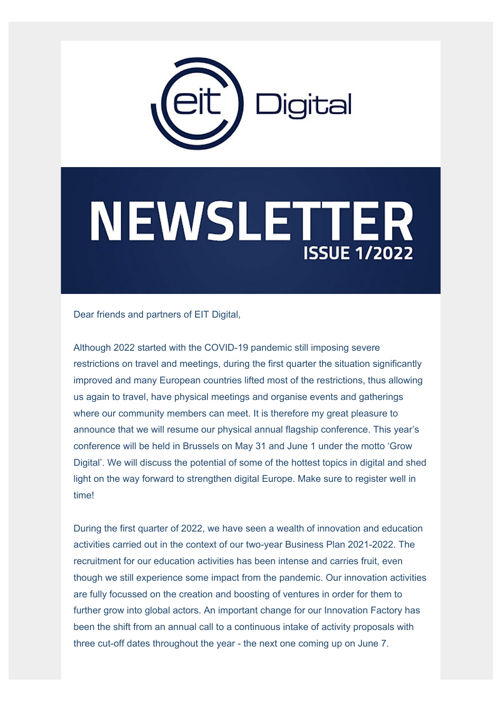

# NEWSLETTER **ISSUE 1/2022**

Dear friends and partners of EIT Digital,

Although 2022 started with the COVID-19 pandemic still imposing severe restrictions on travel and meetings, during the first quarter the situation significantly improved and many European countries lifted most of the restrictions, thus allowing us again to travel, have physical meetings and organise events and gatherings where our community members can meet. It is therefore my great pleasure to announce that we will resume our physical annual flagship conference. This year's conference will be held in Brussels on May 31 and June 1 under the motto 'Grow Digital'. We will discuss the potential of some of the hottest topics in digital and shed light on the way forward to strengthen digital Europe. Make sure to register well in time!

During the first quarter of 2022, we have seen a wealth of innovation and education activities carried out in the context of our two-year Business Plan 2021-2022. The recruitment for our education activities has been intense and carries fruit, even though we still experience some impact from the pandemic. Our innovation activities are fully focussed on the creation and boosting of ventures in order for them to further grow into global actors. An important change for our Innovation Factory has been the shift from an annual call to a continuous intake of activity proposals with three cut-off dates throughout the year - the next one coming up on June 7.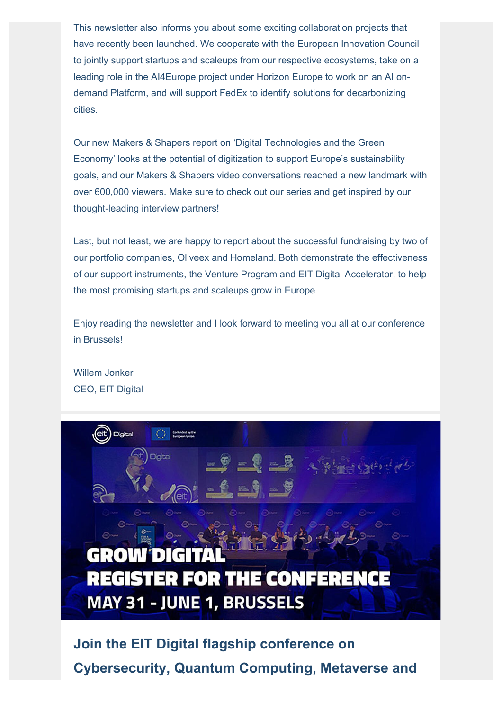This newsletter also informs you about some exciting collaboration projects that have recently been launched. We cooperate with the European Innovation Council to jointly support startups and scaleups from our respective ecosystems, take on a leading role in the AI4Europe project under Horizon Europe to work on an AI ondemand Platform, and will support FedEx to identify solutions for decarbonizing cities.

Our new Makers & Shapers report on 'Digital Technologies and the Green Economy' looks at the potential of digitization to support Europe's sustainability goals, and our Makers & Shapers video conversations reached a new landmark with over 600,000 viewers. Make sure to check out our series and get inspired by our thought-leading interview partners!

Last, but not least, we are happy to report about the successful fundraising by two of our portfolio companies, Oliveex and Homeland. Both demonstrate the effectiveness of our support instruments, the Venture Program and EIT Digital Accelerator, to help the most promising startups and scaleups grow in Europe.

Enjoy reading the newsletter and I look forward to meeting you all at our conference in Brussels!

Willem Jonker CEO, EIT Digital



**Join the EIT Digital flagship conference on Cybersecurity, Quantum Computing, Metaverse and**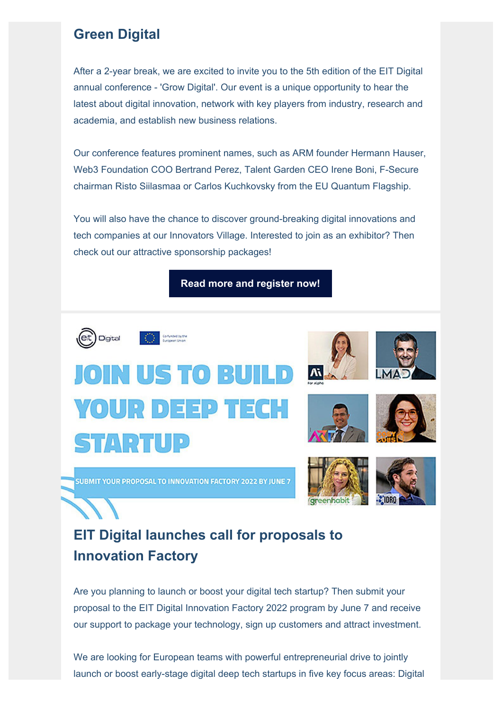#### **Green Digital**

After a 2-year break, we are excited to invite you to the 5th edition of the EIT Digital annual conference - 'Grow Digital'. Our event is a unique opportunity to hear the latest about digital innovation, network with key players from industry, research and academia, and establish new business relations.

Our conference features prominent names, such as ARM founder Hermann Hauser, Web3 Foundation COO Bertrand Perez, Talent Garden CEO Irene Boni, F-Secure chairman Risto Siilasmaa or Carlos Kuchkovsky from the EU Quantum Flagship.

You will also have the chance to discover ground-breaking digital innovations and tech companies at our Innovators Village. Interested to join as an exhibitor? Then check out our attractive sponsorship packages!

**[Read more and register now!](https://www.eitdigital.eu/conference/)**





# OIN US TO BUILD **YOUR DEEP TECH STARTU**

**SUBMIT YOUR PROPOSAL TO INNOVATION FACTORY 2022 BY JUNE 7** 











# **EIT Digital launches call for proposals to Innovation Factory**

Are you planning to launch or boost your digital tech startup? Then submit your proposal to the EIT Digital Innovation Factory 2022 program by June 7 and receive our support to package your technology, sign up customers and attract investment.

We are looking for European teams with powerful entrepreneurial drive to jointly launch or boost early-stage digital deep tech startups in five key focus areas: Digital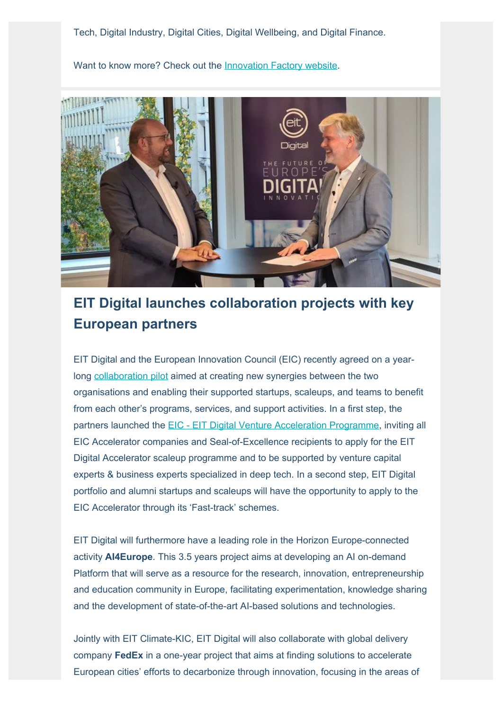Tech, Digital Industry, Digital Cities, Digital Wellbeing, and Digital Finance.

Want to know more? Check out the **Innovation Factory website**.



#### **EIT Digital launches collaboration projects with key European partners**

EIT Digital and the European Innovation Council (EIC) recently agreed on a yearlong [collaboration pilot](https://www.eitdigital.eu/eic-pilot/) aimed at creating new synergies between the two organisations and enabling their supported startups, scaleups, and teams to benefit from each other's programs, services, and support activities. In a first step, the partners launched the **EIC - EIT Digital Venture Acceleration Programme**, inviting all EIC Accelerator companies and Seal-of-Excellence recipients to apply for the EIT Digital Accelerator scaleup programme and to be supported by venture capital experts & business experts specialized in deep tech. In a second step, EIT Digital portfolio and alumni startups and scaleups will have the opportunity to apply to the EIC Accelerator through its 'Fast-track' schemes.

EIT Digital will furthermore have a leading role in the Horizon Europe-connected activity **AI4Europe**. This 3.5 years project aims at developing an AI on-demand Platform that will serve as a resource for the research, innovation, entrepreneurship and education community in Europe, facilitating experimentation, knowledge sharing and the development of state-of-the-art AI-based solutions and technologies.

Jointly with EIT Climate-KIC, EIT Digital will also collaborate with global delivery company **FedEx** in a one-year project that aims at finding solutions to accelerate European cities' efforts to decarbonize through innovation, focusing in the areas of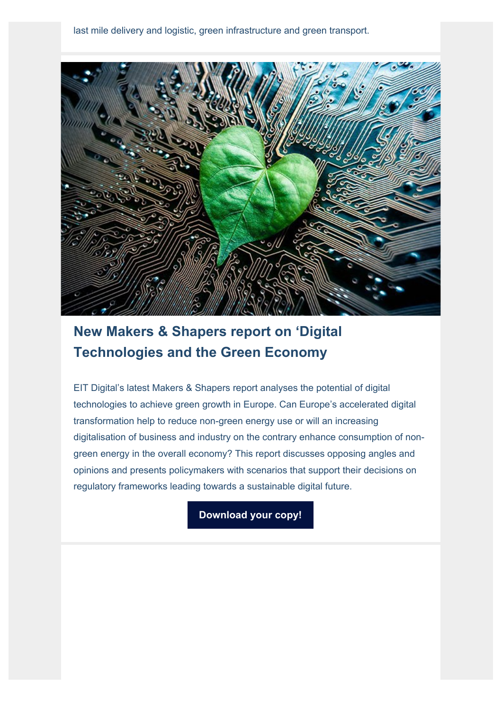

### **New Makers & Shapers report on 'Digital Technologies and the Green Economy**

EIT Digital's latest Makers & Shapers report analyses the potential of digital technologies to achieve green growth in Europe. Can Europe's accelerated digital transformation help to reduce non-green energy use or will an increasing digitalisation of business and industry on the contrary enhance consumption of nongreen energy in the overall economy? This report discusses opposing angles and opinions and presents policymakers with scenarios that support their decisions on regulatory frameworks leading towards a sustainable digital future.

#### **[Download your copy!](https://www.eitdigital.eu/newsroom/news/2022/eit-digital-presents-report-on-digital-technologies-and-the-green-economy/)**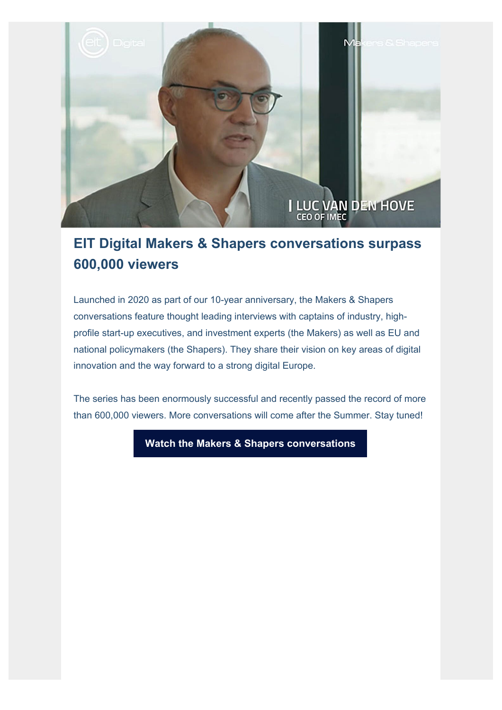

### **EIT Digital Makers & Shapers conversations surpass 600,000 viewers**

Launched in 2020 as part of our 10-year anniversary, the Makers & Shapers conversations feature thought leading interviews with captains of industry, highprofile start-up executives, and investment experts (the Makers) as well as EU and national policymakers (the Shapers). They share their vision on key areas of digital innovation and the way forward to a strong digital Europe.

The series has been enormously successful and recently passed the record of more than 600,000 viewers. More conversations will come after the Summer. Stay tuned!

**[Watch the Makers & Shapers conversations](https://www.eitdigital.eu/our-messages/makers-shapers/conversations/)**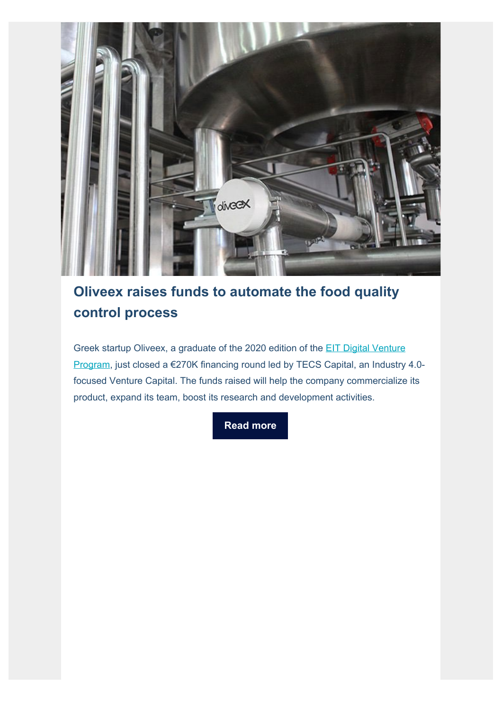

## **Oliveex raises funds to automate the food quality control process**

Greek startup Oliveex, a graduate of the 2020 edition of the [EIT Digital Venture](https://www.eitdigital.eu/venture-program/) [Program](https://www.eitdigital.eu/venture-program/), just closed a €270K financing round led by TECS Capital, an Industry 4.0focused Venture Capital. The funds raised will help the company commercialize its product, expand its team, boost its research and development activities.

**[Read more](https://www.eitdigital.eu/newsroom/news/2022/oliveex-raises-funding-to-automate-the-food-quality-control-process/)**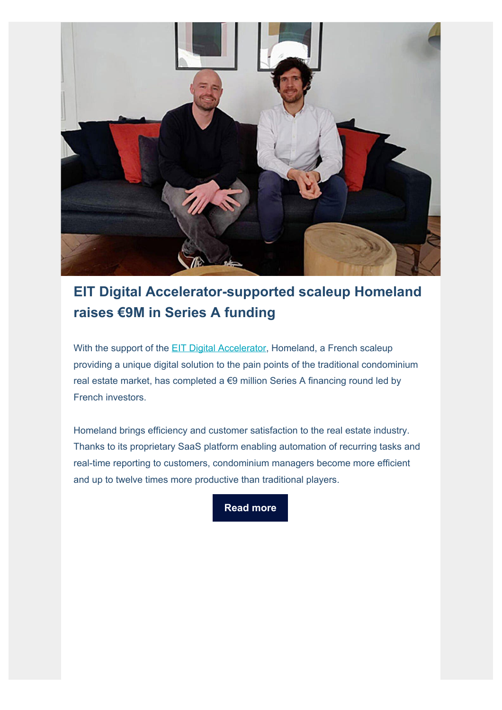

### **EIT Digital Accelerator-supported scaleup Homeland raises €9M in Series A funding**

With the support of the **EIT Digital Accelerator**, Homeland, a French scaleup providing a unique digital solution to the pain points of the traditional condominium real estate market, has completed a €9 million Series A financing round led by French investors.

Homeland brings efficiency and customer satisfaction to the real estate industry. Thanks to its proprietary SaaS platform enabling automation of recurring tasks and real-time reporting to customers, condominium managers become more efficient and up to twelve times more productive than traditional players.

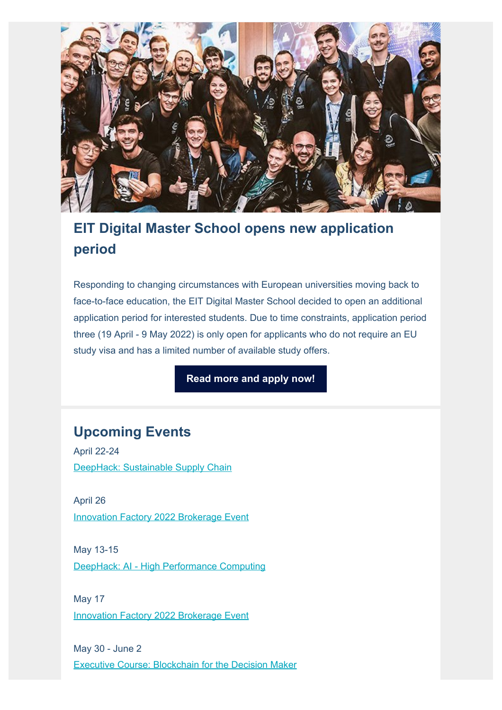

#### **EIT Digital Master School opens new application period**

Responding to changing circumstances with European universities moving back to face-to-face education, the EIT Digital Master School decided to open an additional application period for interested students. Due to time constraints, application period three (19 April - 9 May 2022) is only open for applicants who do not require an EU study visa and has a limited number of available study offers.

**[Read more and apply now!](https://www.eitdigital.eu/newsroom/news/2022/eit-digital-master-school-opens-new-application-period/)**

#### **Upcoming Events**

April 22-24 [DeepHack: Sustainable Supply Chain](https://www.eitdigital.eu/newsroom/events/2022/deephack-sustainable-supply-chain/)

April 26 **[Innovation Factory 2022 Brokerage Event](https://www.eitdigital.eu/newsroom/events/2022/innovation-factory-2022-brokerage-event/)** 

May 13-15 [DeepHack: AI - High Performance Computing](https://www.eitdigital.eu/newsroom/events/2022/deephack-ai-high-performance-computing/)

May 17 **[Innovation Factory 2022 Brokerage Event](https://www.eitdigital.eu/newsroom/events/2022/innovation-factory-2022-brokerage-event/)** 

May 30 - June 2 [Executive Course: Blockchain for the Decision Maker](https://www.eitdigital.eu/newsroom/events/2021/executive-course-blockchain-for-the-decision-maker/)